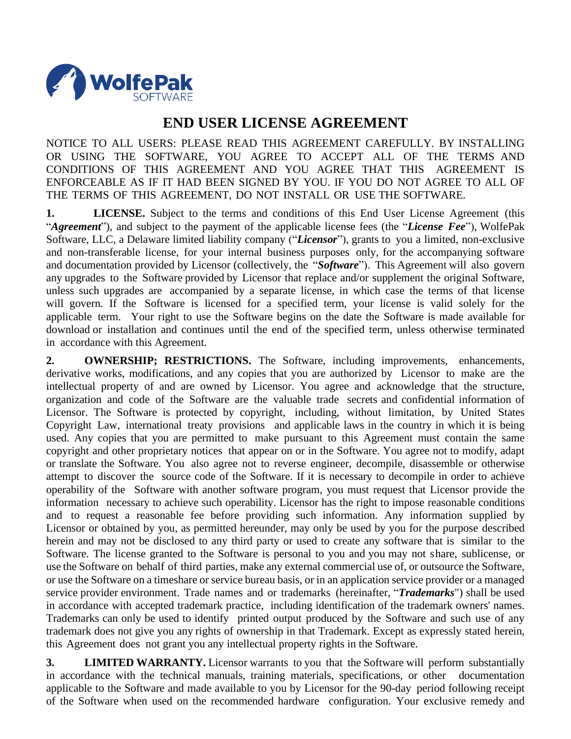

## **END USER LICENSE AGREEMENT**

NOTICE TO ALL USERS: PLEASE READ THIS AGREEMENT CAREFULLY. BY INSTALLING OR USING THE SOFTWARE, YOU AGREE TO ACCEPT ALL OF THE TERMS AND CONDITIONS OF THIS AGREEMENT AND YOU AGREE THAT THIS AGREEMENT IS ENFORCEABLE AS IF IT HAD BEEN SIGNED BY YOU. IF YOU DO NOT AGREE TO ALL OF THE TERMS OF THIS AGREEMENT, DO NOT INSTALL OR USE THE SOFTWARE.

**1. LICENSE.** Subject to the terms and conditions of this End User License Agreement (this "*Agreement*"), and subject to the payment of the applicable license fees (the "*License Fee*"), WolfePak Software, LLC, a Delaware limited liability company ("*Licensor*"), grants to you a limited, non-exclusive and non-transferable license, for your internal business purposes only, for the accompanying software and documentation provided by Licensor (collectively, the "*Software*"). This Agreement will also govern any upgrades to the Software provided by Licensor that replace and/or supplement the original Software, unless such upgrades are accompanied by a separate license, in which case the terms of that license will govern. If the Software is licensed for a specified term, your license is valid solely for the applicable term. Your right to use the Software begins on the date the Software is made available for download or installation and continues until the end of the specified term, unless otherwise terminated in accordance with this Agreement.

**2. OWNERSHIP; RESTRICTIONS.** The Software, including improvements, enhancements, derivative works, modifications, and any copies that you are authorized by Licensor to make are the intellectual property of and are owned by Licensor. You agree and acknowledge that the structure, organization and code of the Software are the valuable trade secrets and confidential information of Licensor. The Software is protected by copyright, including, without limitation, by United States Copyright Law, international treaty provisions and applicable laws in the country in which it is being used. Any copies that you are permitted to make pursuant to this Agreement must contain the same copyright and other proprietary notices that appear on or in the Software. You agree not to modify, adapt or translate the Software. You also agree not to reverse engineer, decompile, disassemble or otherwise attempt to discover the source code of the Software. If it is necessary to decompile in order to achieve operability of the Software with another software program, you must request that Licensor provide the information necessary to achieve such operability. Licensor has the right to impose reasonable conditions and to request a reasonable fee before providing such information. Any information supplied by Licensor or obtained by you, as permitted hereunder, may only be used by you for the purpose described herein and may not be disclosed to any third party or used to create any software that is similar to the Software. The license granted to the Software is personal to you and you may not share, sublicense, or use the Software on behalf of third parties, make any external commercial use of, or outsource the Software, or use the Software on a timeshare or service bureau basis, or in an application service provider or a managed service provider environment. Trade names and or trademarks (hereinafter, "*Trademarks*") shall be used in accordance with accepted trademark practice, including identification of the trademark owners' names. Trademarks can only be used to identify printed output produced by the Software and such use of any trademark does not give you any rights of ownership in that Trademark. Except as expressly stated herein, this Agreement does not grant you any intellectual property rights in the Software.

**3. LIMITED WARRANTY.** Licensor warrants to you that the Software will perform substantially in accordance with the technical manuals, training materials, specifications, or other documentation applicable to the Software and made available to you by Licensor for the 90-day period following receipt of the Software when used on the recommended hardware configuration. Your exclusive remedy and